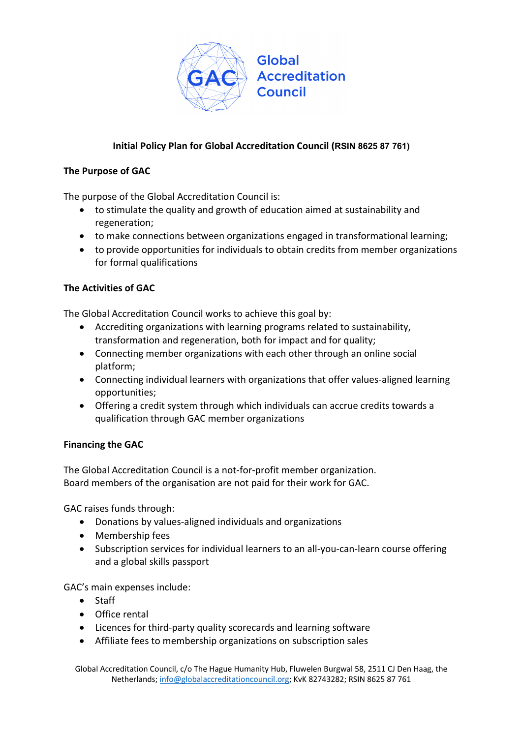

## **Initial Policy Plan for Global Accreditation Council (RSIN 8625 87 761)**

## **The Purpose of GAC**

The purpose of the Global Accreditation Council is:

- to stimulate the quality and growth of education aimed at sustainability and regeneration;
- to make connections between organizations engaged in transformational learning;
- to provide opportunities for individuals to obtain credits from member organizations for formal qualifications

## **The Activities of GAC**

The Global Accreditation Council works to achieve this goal by:

- Accrediting organizations with learning programs related to sustainability, transformation and regeneration, both for impact and for quality;
- Connecting member organizations with each other through an online social platform;
- Connecting individual learners with organizations that offer values-aligned learning opportunities;
- Offering a credit system through which individuals can accrue credits towards a qualification through GAC member organizations

## **Financing the GAC**

The Global Accreditation Council is a not-for-profit member organization. Board members of the organisation are not paid for their work for GAC.

GAC raises funds through:

- Donations by values-aligned individuals and organizations
- Membership fees
- Subscription services for individual learners to an all-you-can-learn course offering and a global skills passport

GAC's main expenses include:

- Staff
- Office rental
- Licences for third-party quality scorecards and learning software
- Affiliate fees to membership organizations on subscription sales

Global Accreditation Council, c/o The Hague Humanity Hub, Fluwelen Burgwal 58, 2511 CJ Den Haag, the Netherlands; info@globalaccreditationcouncil.org; KvK 82743282; RSIN 8625 87 761